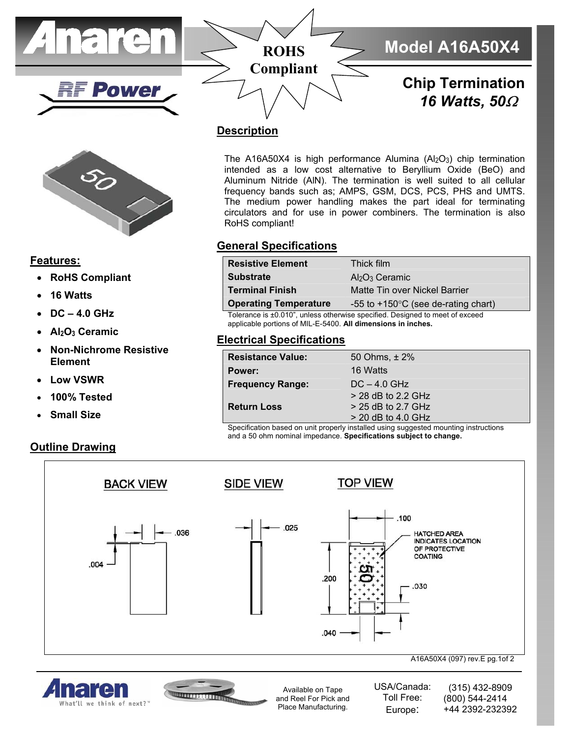



## **Features:**

- **RoHS Compliant**
- **16 Watts**
- **DC 4.0 GHz**
- **Al2O3 Ceramic**
- **Non-Nichrome Resistive Element**
- **Low VSWR**
- **100% Tested**
- **Small Size**

## **Outline Drawing**

## **Description**

The A16A50X4 is high performance Alumina (Al2O3) chip termination intended as a low cost alternative to Beryllium Oxide (BeO) and Aluminum Nitride (AlN). The termination is well suited to all cellular frequency bands such as; AMPS, GSM, DCS, PCS, PHS and UMTS. The medium power handling makes the part ideal for terminating circulators and for use in power combiners. The termination is also RoHS compliant!

## **General Specifications**

| <b>Resistive Element</b>     | Thick film                                    |
|------------------------------|-----------------------------------------------|
| <b>Substrate</b>             | $Al2O3$ Ceramic                               |
| <b>Terminal Finish</b>       | Matte Tin over Nickel Barrier                 |
| <b>Operating Temperature</b> | -55 to $+150^{\circ}$ C (see de-rating chart) |

Tolerance is ±0.010", unless otherwise specified. Designed to meet of exceed applicable portions of MIL-E-5400. **All dimensions in inches.**

#### **Electrical Specifications**

| <b>Resistance Value:</b>                                                                             | 50 Ohms, ± 2%        |
|------------------------------------------------------------------------------------------------------|----------------------|
| Power:                                                                                               | 16 Watts             |
| <b>Frequency Range:</b>                                                                              | $DC - 4.0$ GHz       |
|                                                                                                      | $>$ 28 dB to 2.2 GHz |
| <b>Return Loss</b>                                                                                   | $>$ 25 dB to 2.7 GHz |
|                                                                                                      | $>$ 20 dB to 4.0 GHz |
| Osposification baccal as mail secondulus is at all and main a concentral secondiscs in attenuations. |                      |

Specification based on unit properly installed using suggested mounting instructions and a 50 ohm nominal impedance. **Specifications subject to change.**







Available on Tape and Reel For Pick and Place Manufacturing.

USA/Canada: Toll Free: Europe: